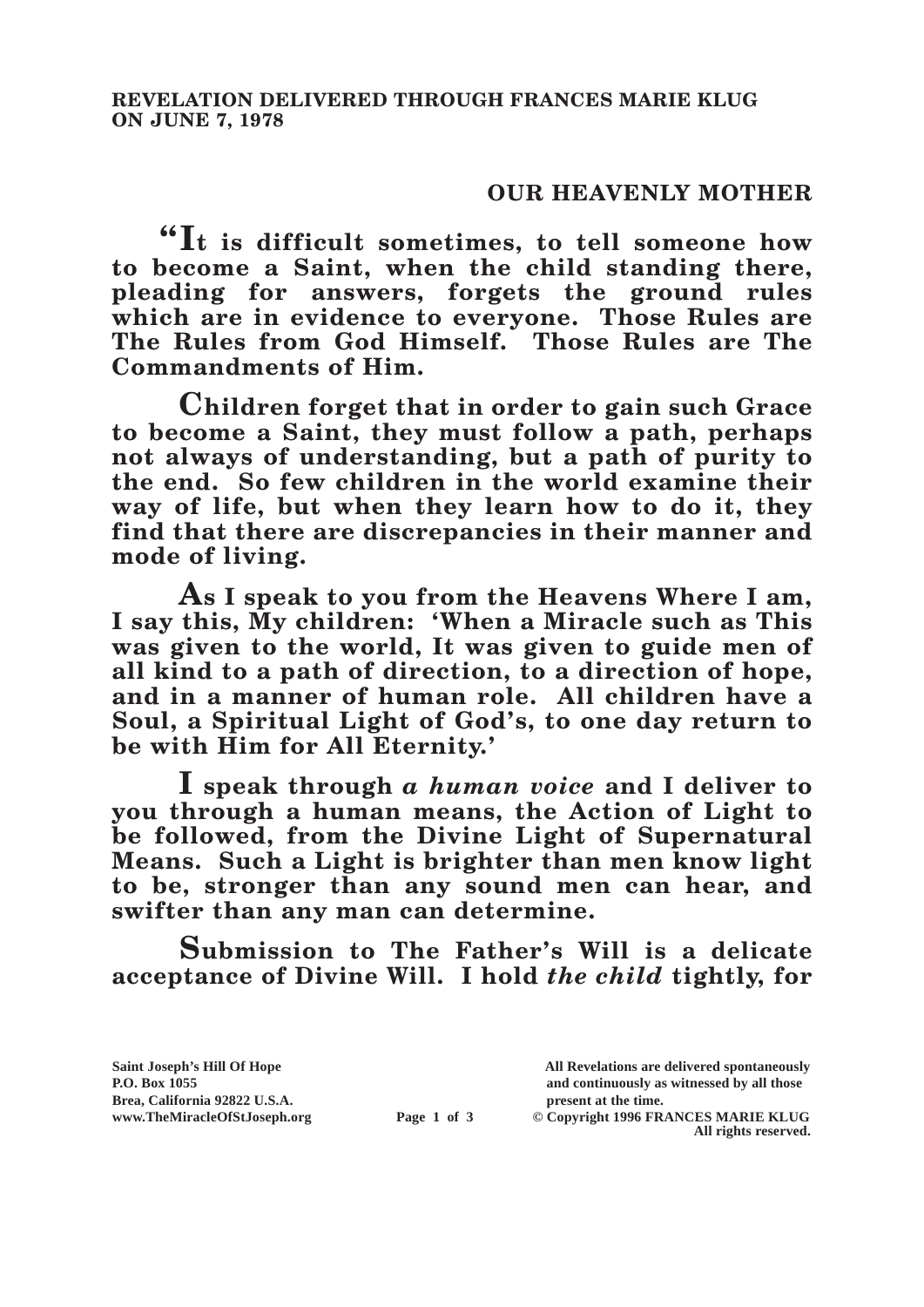## **OUR HEAVENLY MOTHER**

**"It is difficult sometimes, to tell someone how to become a Saint, when the child standing there, pleading for answers, forgets the ground rules which are in evidence to everyone. Those Rules are The Rules from God Himself. Those Rules are The Commandments of Him.**

**Children forget that in order to gain such Grace to become a Saint, they must follow a path, perhaps not always of understanding, but a path of purity to the end. So few children in the world examine their way of life, but when they learn how to do it, they find that there are discrepancies in their manner and mode of living.**

**As I speak to you from the Heavens Where I am, I say this, My children: 'When a Miracle such as This was given to the world, It was given to guide men of all kind to a path of direction, to a direction of hope, and in a manner of human role. All children have a Soul, a Spiritual Light of God's, to one day return to be with Him for All Eternity.'**

**I speak through** *a human voice* **and I deliver to you through a human means, the Action of Light to be followed, from the Divine Light of Supernatural Means. Such a Light is brighter than men know light to be, stronger than any sound men can hear, and swifter than any man can determine.**

**Submission to The Father's Will is a delicate acceptance of Divine Will. I hold** *the child* **tightly, for** 

**Brea, California 92822 U.S.A. present at the time.**<br> **Page 1 of 3** © Copyright 1996 FR.

**Saint Joseph's Hill Of Hope All Revelations are delivered spontaneously P.O. Box 1055 and continuously as witnessed by all those** 

**Page 1 of 3** © Copyright 1996 FRANCES MARIE KLUG **All rights reserved.**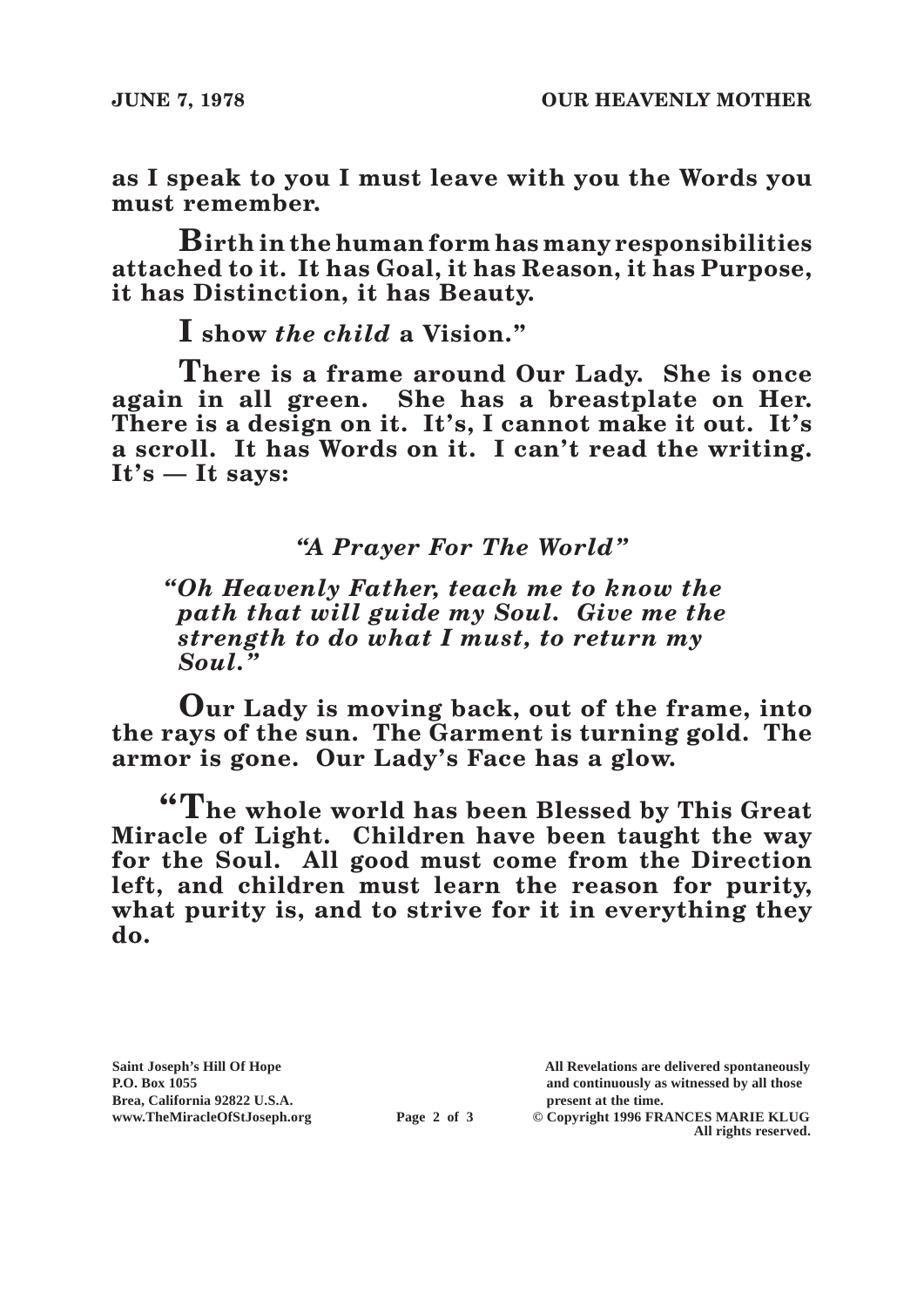**as I speak to you I must leave with you the Words you must remember.**

**Birth in the human form has many responsibilities attached to it. It has Goal, it has Reason, it has Purpose, it has Distinction, it has Beauty.**

**I show** *the child* **a Vision."**

**There is a frame around Our Lady. She is once again in all green. She has a breastplate on Her. There is a design on it. It's, I cannot make it out. It's a scroll. It has Words on it. I can't read the writing. It's — It says:**

## *"A Prayer For The World"*

*"Oh Heavenly Father, teach me to know the path that will guide my Soul. Give me the strength to do what I must, to return my Soul."*

**Our Lady is moving back, out of the frame, into the rays of the sun. The Garment is turning gold. The armor is gone. Our Lady's Face has a glow.**

**"The whole world has been Blessed by This Great Miracle of Light. Children have been taught the way for the Soul. All good must come from the Direction left, and children must learn the reason for purity, what purity is, and to strive for it in everything they do.**

Brea, California 92822 U.S.A.<br>
www.TheMiracleOfStJoseph.org<br> **Page 2 of 3** © Copyright 1996 FR.

**Saint Joseph's Hill Of Hope All Revelations are delivered spontaneously P.O. Box 1055 and continuously as witnessed by all those** 

 $\odot$  Copyright 1996 FRANCES MARIE KLUG **All rights reserved.**